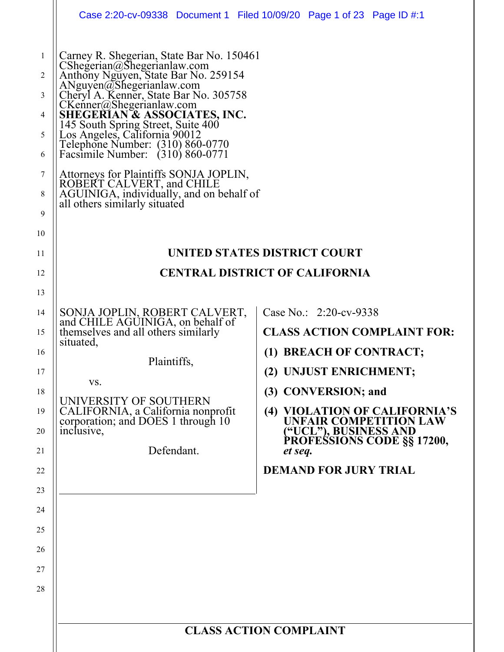|                                                            |                                                                                                                                                                                                                                                                                                                                                                                                                                                                                                                                                       | Case 2:20-cv-09338 Document 1 Filed 10/09/20 Page 1 of 23 Page ID #:1                                                                        |  |  |  |
|------------------------------------------------------------|-------------------------------------------------------------------------------------------------------------------------------------------------------------------------------------------------------------------------------------------------------------------------------------------------------------------------------------------------------------------------------------------------------------------------------------------------------------------------------------------------------------------------------------------------------|----------------------------------------------------------------------------------------------------------------------------------------------|--|--|--|
| $\mathbf{1}$<br>2<br>3<br>4<br>5<br>6<br>7<br>8<br>9<br>10 | Carney R. Shegerian, State Bar No. 150461<br>CShegerian@Shegerianlaw.com<br>Anthony Nguyen, State Bar No. 259154<br>ANguyen@Shegerianlaw.com<br>Cheryl A. Kenner, State Bar No. 305758<br>CKenner@Shegerianlaw.com<br>SHEGERIAN & ASSOCIATES, INC.<br>145 South Spring Street, Suite 400<br>Los Angeles, California 90012<br>Telephone Number: (310) 860-0770<br>Facsimile Number: (310) 860-0771<br>Attorneys for Plaintiffs SONJA JOPLIN,<br>ROBERT CALVERT, and CHILE<br>AGUINIGA, individually, and on behalf of<br>all others similarly situated |                                                                                                                                              |  |  |  |
| 11                                                         |                                                                                                                                                                                                                                                                                                                                                                                                                                                                                                                                                       | UNITED STATES DISTRICT COURT                                                                                                                 |  |  |  |
| 12                                                         | <b>CENTRAL DISTRICT OF CALIFORNIA</b>                                                                                                                                                                                                                                                                                                                                                                                                                                                                                                                 |                                                                                                                                              |  |  |  |
| 13                                                         |                                                                                                                                                                                                                                                                                                                                                                                                                                                                                                                                                       |                                                                                                                                              |  |  |  |
| 14<br>15                                                   | SONJA JOPLIN, ROBERT CALVERT,<br>and CHILE AGUINIGA, on behalf of<br>themselves and all others similarly<br>situated,                                                                                                                                                                                                                                                                                                                                                                                                                                 | Case No.: 2:20-cv-9338<br><b>CLASS ACTION COMPLAINT FOR:</b>                                                                                 |  |  |  |
| 16<br>17                                                   | Plaintiffs,<br>VS.                                                                                                                                                                                                                                                                                                                                                                                                                                                                                                                                    | (1) BREACH OF CONTRACT;<br>(2) UNJUST ENRICHMENT;                                                                                            |  |  |  |
| 18<br>19<br>20                                             | UNIVERSITY OF SOUTHERN<br>CALIFORNIA, a California nonprofit<br>corporation; and DOES 1 through 10<br>inclusive,<br>Defendant.                                                                                                                                                                                                                                                                                                                                                                                                                        | (3) CONVERSION; and<br>(4) VIOLATION OF CALIFORNIA'S<br><b>UNFAIR COMPETITION LAW</b><br>("UCL"), BUSINESS AND<br>PROFESSIONS CODE §§ 17200, |  |  |  |
| 21                                                         |                                                                                                                                                                                                                                                                                                                                                                                                                                                                                                                                                       | et seq.                                                                                                                                      |  |  |  |
| 22                                                         |                                                                                                                                                                                                                                                                                                                                                                                                                                                                                                                                                       | <b>DEMAND FOR JURY TRIAL</b>                                                                                                                 |  |  |  |
| 23                                                         |                                                                                                                                                                                                                                                                                                                                                                                                                                                                                                                                                       |                                                                                                                                              |  |  |  |
| 24                                                         |                                                                                                                                                                                                                                                                                                                                                                                                                                                                                                                                                       |                                                                                                                                              |  |  |  |
| 25                                                         |                                                                                                                                                                                                                                                                                                                                                                                                                                                                                                                                                       |                                                                                                                                              |  |  |  |
| 26                                                         |                                                                                                                                                                                                                                                                                                                                                                                                                                                                                                                                                       |                                                                                                                                              |  |  |  |
| 27                                                         |                                                                                                                                                                                                                                                                                                                                                                                                                                                                                                                                                       |                                                                                                                                              |  |  |  |
| 28                                                         |                                                                                                                                                                                                                                                                                                                                                                                                                                                                                                                                                       |                                                                                                                                              |  |  |  |
|                                                            |                                                                                                                                                                                                                                                                                                                                                                                                                                                                                                                                                       |                                                                                                                                              |  |  |  |
|                                                            | <b>CLASS ACTION COMPLAINT</b>                                                                                                                                                                                                                                                                                                                                                                                                                                                                                                                         |                                                                                                                                              |  |  |  |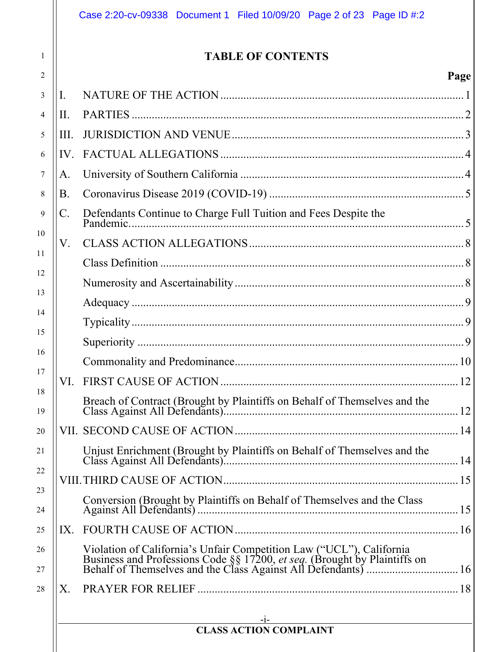|                 | <b>TABLE OF CONTENTS</b>                                                                                                                                                                                        |      |
|-----------------|-----------------------------------------------------------------------------------------------------------------------------------------------------------------------------------------------------------------|------|
|                 |                                                                                                                                                                                                                 | Page |
| I.              |                                                                                                                                                                                                                 |      |
| II.             |                                                                                                                                                                                                                 |      |
| III.            |                                                                                                                                                                                                                 |      |
| IV.             |                                                                                                                                                                                                                 |      |
| А.              |                                                                                                                                                                                                                 |      |
| B.              |                                                                                                                                                                                                                 |      |
| $\mathcal{C}$ . | Defendants Continue to Charge Full Tuition and Fees Despite the                                                                                                                                                 |      |
| V.              |                                                                                                                                                                                                                 |      |
|                 |                                                                                                                                                                                                                 |      |
|                 |                                                                                                                                                                                                                 |      |
|                 |                                                                                                                                                                                                                 |      |
|                 |                                                                                                                                                                                                                 |      |
|                 |                                                                                                                                                                                                                 |      |
|                 |                                                                                                                                                                                                                 |      |
|                 |                                                                                                                                                                                                                 |      |
|                 |                                                                                                                                                                                                                 |      |
|                 |                                                                                                                                                                                                                 |      |
|                 |                                                                                                                                                                                                                 |      |
|                 |                                                                                                                                                                                                                 |      |
|                 |                                                                                                                                                                                                                 |      |
| IX.             |                                                                                                                                                                                                                 |      |
|                 | Violation of California's Unfair Competition Law ("UCL"), California<br>Business and Professions Code §§ 17200, et seq. (Brought by Plaintiffs on<br>Behalf of Themselves and the Class Against All Defendants) |      |
| X.              |                                                                                                                                                                                                                 |      |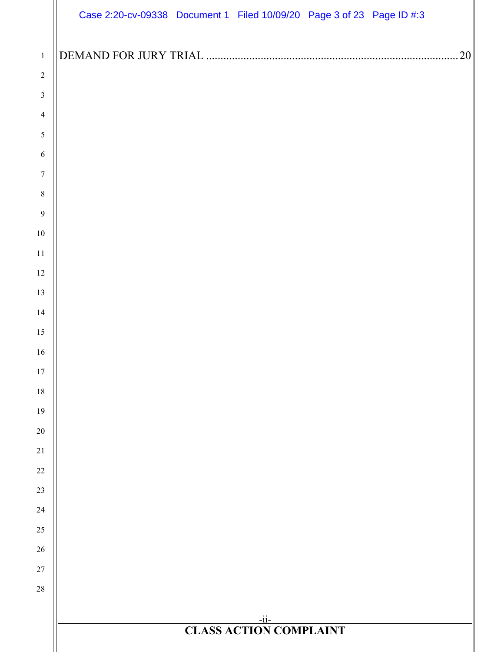|                                        | Case 2:20-cv-09338 Document 1 Filed 10/09/20 Page 3 of 23 Page ID #:3 |
|----------------------------------------|-----------------------------------------------------------------------|
|                                        |                                                                       |
| $\,1\,$                                | 20                                                                    |
| $\sqrt{2}$                             |                                                                       |
| $\mathfrak z$                          |                                                                       |
| $\overline{\mathcal{A}}$<br>$\sqrt{5}$ |                                                                       |
| 6                                      |                                                                       |
| $\boldsymbol{7}$                       |                                                                       |
| $\,8\,$                                |                                                                       |
| 9                                      |                                                                       |
| $10\,$                                 |                                                                       |
| 11                                     |                                                                       |
| 12                                     |                                                                       |
| 13                                     |                                                                       |
| 14                                     |                                                                       |
| 15                                     |                                                                       |
| 16                                     |                                                                       |
| 17                                     |                                                                       |
| 18                                     |                                                                       |
| 19                                     |                                                                       |
| $20\,$<br>21                           |                                                                       |
| $22\,$                                 |                                                                       |
| 23                                     |                                                                       |
| 24                                     |                                                                       |
| 25                                     |                                                                       |
| 26                                     |                                                                       |
| $27\,$                                 |                                                                       |
| 28                                     |                                                                       |
|                                        |                                                                       |
|                                        | $-ii-$<br><b>CLASS ACTION COMPLAINT</b>                               |
|                                        |                                                                       |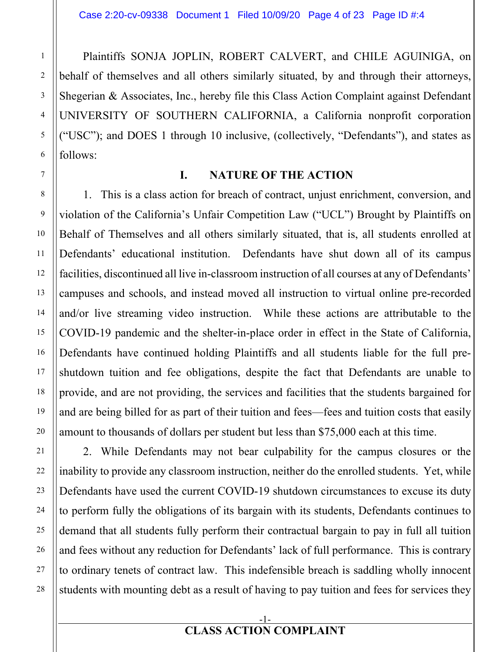Plaintiffs SONJA JOPLIN, ROBERT CALVERT, and CHILE AGUINIGA, on behalf of themselves and all others similarly situated, by and through their attorneys, Shegerian & Associates, Inc., hereby file this Class Action Complaint against Defendant UNIVERSITY OF SOUTHERN CALIFORNIA, a California nonprofit corporation ("USC"); and DOES 1 through 10 inclusive, (collectively, "Defendants"), and states as follows:

1

2

3

4

5

6

7

8

9

10

11

12

13

14

15

16

17

18

19

20

21

22

23

24

25

26

27

28

#### **I. NATURE OF THE ACTION**

1. This is a class action for breach of contract, unjust enrichment, conversion, and violation of the California's Unfair Competition Law ("UCL") Brought by Plaintiffs on Behalf of Themselves and all others similarly situated, that is, all students enrolled at Defendants' educational institution. Defendants have shut down all of its campus facilities, discontinued all live in-classroom instruction of all courses at any of Defendants' campuses and schools, and instead moved all instruction to virtual online pre-recorded and/or live streaming video instruction. While these actions are attributable to the COVID-19 pandemic and the shelter-in-place order in effect in the State of California, Defendants have continued holding Plaintiffs and all students liable for the full preshutdown tuition and fee obligations, despite the fact that Defendants are unable to provide, and are not providing, the services and facilities that the students bargained for and are being billed for as part of their tuition and fees—fees and tuition costs that easily amount to thousands of dollars per student but less than \$75,000 each at this time.

2. While Defendants may not bear culpability for the campus closures or the inability to provide any classroom instruction, neither do the enrolled students. Yet, while Defendants have used the current COVID-19 shutdown circumstances to excuse its duty to perform fully the obligations of its bargain with its students, Defendants continues to demand that all students fully perform their contractual bargain to pay in full all tuition and fees without any reduction for Defendants' lack of full performance. This is contrary to ordinary tenets of contract law. This indefensible breach is saddling wholly innocent students with mounting debt as a result of having to pay tuition and fees for services they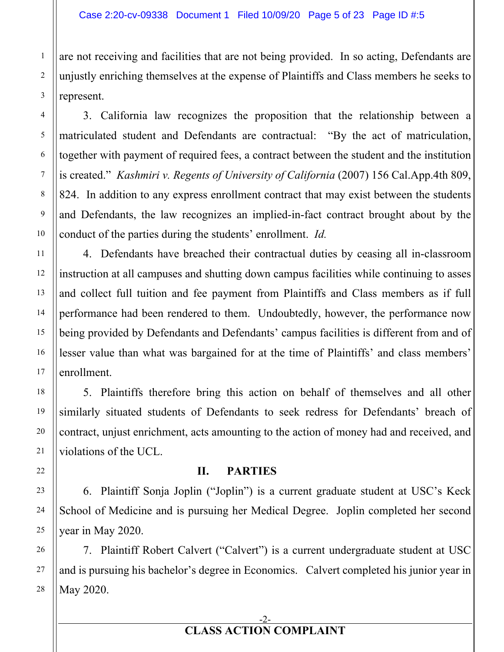are not receiving and facilities that are not being provided. In so acting, Defendants are unjustly enriching themselves at the expense of Plaintiffs and Class members he seeks to represent.

3. California law recognizes the proposition that the relationship between a matriculated student and Defendants are contractual: "By the act of matriculation, together with payment of required fees, a contract between the student and the institution is created." *Kashmiri v. Regents of University of California* (2007) 156 Cal.App.4th 809, 824. In addition to any express enrollment contract that may exist between the students and Defendants, the law recognizes an implied-in-fact contract brought about by the conduct of the parties during the students' enrollment. *Id.*

4. Defendants have breached their contractual duties by ceasing all in-classroom instruction at all campuses and shutting down campus facilities while continuing to asses and collect full tuition and fee payment from Plaintiffs and Class members as if full performance had been rendered to them. Undoubtedly, however, the performance now being provided by Defendants and Defendants' campus facilities is different from and of lesser value than what was bargained for at the time of Plaintiffs' and class members' enrollment.

5. Plaintiffs therefore bring this action on behalf of themselves and all other similarly situated students of Defendants to seek redress for Defendants' breach of contract, unjust enrichment, acts amounting to the action of money had and received, and violations of the UCL.

#### **II. PARTIES**

6. Plaintiff Sonja Joplin ("Joplin") is a current graduate student at USC's Keck School of Medicine and is pursuing her Medical Degree. Joplin completed her second year in May 2020.

7. Plaintiff Robert Calvert ("Calvert") is a current undergraduate student at USC and is pursuing his bachelor's degree in Economics. Calvert completed his junior year in May 2020.

#### -2- **CLASS ACTION COMPLAINT**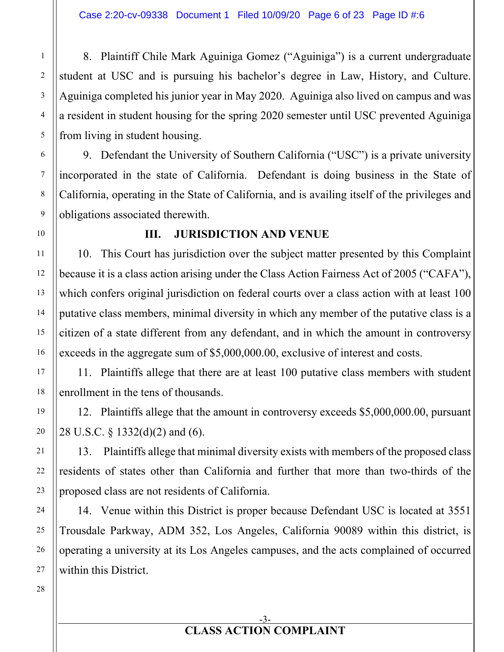8. Plaintiff Chile Mark Aguiniga Gomez ("Aguiniga") is a current undergraduate student at USC and is pursuing his bachelor's degree in Law, History, and Culture. Aguiniga completed his junior year in May 2020. Aguiniga also lived on campus and was a resident in student housing for the spring 2020 semester until USC prevented Aguiniga from living in student housing.

9. Defendant the University of Southern California ("USC") is a private university incorporated in the state of California. Defendant is doing business in the State of California, operating in the State of California, and is availing itself of the privileges and obligations associated therewith.

#### **III. JURISDICTION AND VENUE**

10. This Court has jurisdiction over the subject matter presented by this Complaint because it is a class action arising under the Class Action Fairness Act of 2005 ("CAFA"), which confers original jurisdiction on federal courts over a class action with at least 100 putative class members, minimal diversity in which any member of the putative class is a citizen of a state different from any defendant, and in which the amount in controversy exceeds in the aggregate sum of \$5,000,000.00, exclusive of interest and costs.

11. Plaintiffs allege that there are at least 100 putative class members with student enrollment in the tens of thousands.

12. Plaintiffs allege that the amount in controversy exceeds \$5,000,000.00, pursuant 28 U.S.C. § 1332(d)(2) and (6).

13. Plaintiffs allege that minimal diversity exists with members of the proposed class residents of states other than California and further that more than two-thirds of the proposed class are not residents of California.

14. Venue within this District is proper because Defendant USC is located at 3551 Trousdale Parkway, ADM 352, Los Angeles, California 90089 within this district, is operating a university at its Los Angeles campuses, and the acts complained of occurred within this District.

1

2

3

4

5

6

7

8

9

10

11

12

13

14

15

16

17

18

19

20

21

22

23

24

25

#### -3- **CLASS ACTION COMPLAINT**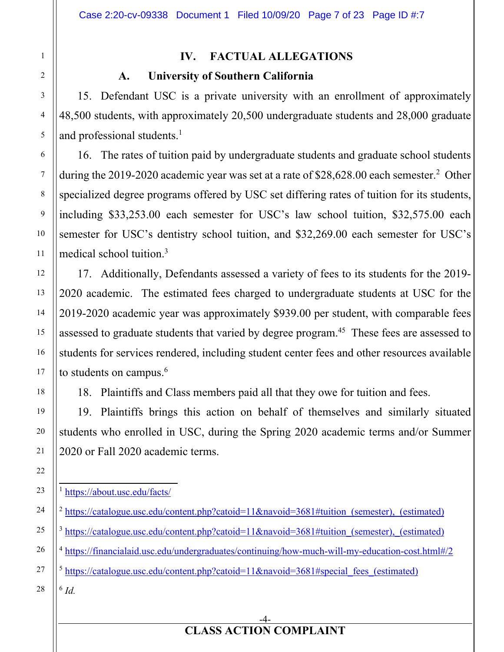## **IV. FACTUAL ALLEGATIONS**

### **A. University of Southern California**

15. Defendant USC is a private university with an enrollment of approximately 48,500 students, with approximately 20,500 undergraduate students and 28,000 graduate and professional students.<sup>1</sup>

16. The rates of tuition paid by undergraduate students and graduate school students during the 2019-2020 academic year was set at a rate of \$28,628.00 each semester.<sup>2</sup> Other specialized degree programs offered by USC set differing rates of tuition for its students, including \$33,253.00 each semester for USC's law school tuition, \$32,575.00 each semester for USC's dentistry school tuition, and \$32,269.00 each semester for USC's medical school tuition.3

17. Additionally, Defendants assessed a variety of fees to its students for the 2019- 2020 academic. The estimated fees charged to undergraduate students at USC for the 2019-2020 academic year was approximately \$939.00 per student, with comparable fees assessed to graduate students that varied by degree program.<sup>45</sup> These fees are assessed to students for services rendered, including student center fees and other resources available to students on campus. $6$ 

18. Plaintiffs and Class members paid all that they owe for tuition and fees.

19. Plaintiffs brings this action on behalf of themselves and similarly situated students who enrolled in USC, during the Spring 2020 academic terms and/or Summer 2020 or Fall 2020 academic terms.

- <sup>2</sup> https://catalogue.usc.edu/content.php?catoid=11&navoid=3681#tuition (semester), (estimated)  $3 \text{ https://catalogue.usc.edu/content.php?catoid=11&navoid=3681\#tution (semester), (estimated)$
- <sup>4</sup> https://financialaid.usc.edu/undergraduates/continuing/how-much-will-my-education-cost.html#/2

 $5 \text{ https://catalogue.usc.edu/content.php?catoid=11&navoid=3681#special fees (estimated))}$ 

<sup>6</sup> *Id.*

-4- **CLASS ACTION COMPLAINT** 

<sup>1</sup> https://about.usc.edu/facts/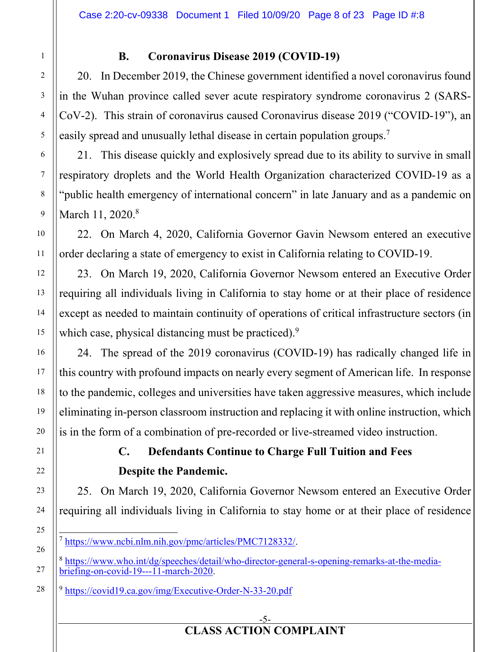## **B. Coronavirus Disease 2019 (COVID-19)**

20. In December 2019, the Chinese government identified a novel coronavirus found in the Wuhan province called sever acute respiratory syndrome coronavirus 2 (SARS-CoV-2). This strain of coronavirus caused Coronavirus disease 2019 ("COVID-19"), an easily spread and unusually lethal disease in certain population groups.7

21. This disease quickly and explosively spread due to its ability to survive in small respiratory droplets and the World Health Organization characterized COVID-19 as a "public health emergency of international concern" in late January and as a pandemic on March 11, 2020.<sup>8</sup>

22. On March 4, 2020, California Governor Gavin Newsom entered an executive order declaring a state of emergency to exist in California relating to COVID-19.

23. On March 19, 2020, California Governor Newsom entered an Executive Order requiring all individuals living in California to stay home or at their place of residence except as needed to maintain continuity of operations of critical infrastructure sectors (in which case, physical distancing must be practiced).<sup>9</sup>

24. The spread of the 2019 coronavirus (COVID-19) has radically changed life in this country with profound impacts on nearly every segment of American life. In response to the pandemic, colleges and universities have taken aggressive measures, which include eliminating in-person classroom instruction and replacing it with online instruction, which is in the form of a combination of pre-recorded or live-streamed video instruction.

## **C. Defendants Continue to Charge Full Tuition and Fees Despite the Pandemic.**

25. On March 19, 2020, California Governor Newsom entered an Executive Order requiring all individuals living in California to stay home or at their place of residence

<sup>8</sup> https://www.who.int/dg/speeches/detail/who-director-general-s-opening-remarks-at-the-mediabriefing-on-covid-19---11-march-2020.

<sup>&</sup>lt;sup>7</sup> https://www.ncbi.nlm.nih.gov/pmc/articles/PMC7128332/.

<sup>&</sup>lt;sup>9</sup> https://covid19.ca.gov/img/Executive-Order-N-33-20.pdf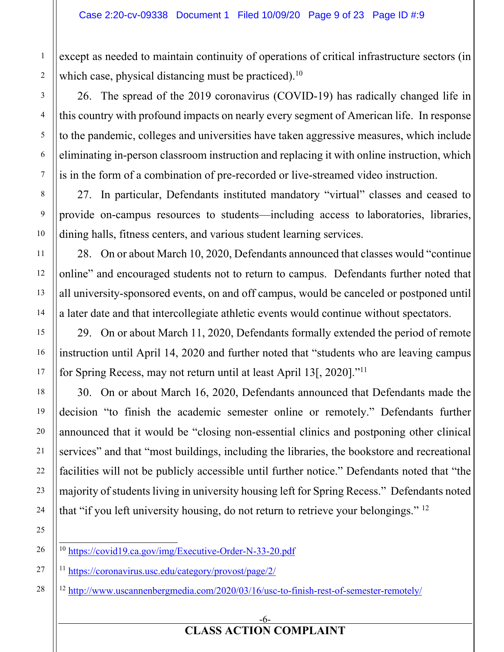except as needed to maintain continuity of operations of critical infrastructure sectors (in which case, physical distancing must be practiced).<sup>10</sup>

26. The spread of the 2019 coronavirus (COVID-19) has radically changed life in this country with profound impacts on nearly every segment of American life. In response to the pandemic, colleges and universities have taken aggressive measures, which include eliminating in-person classroom instruction and replacing it with online instruction, which is in the form of a combination of pre-recorded or live-streamed video instruction.

27. In particular, Defendants instituted mandatory "virtual" classes and ceased to provide on-campus resources to students—including access to laboratories, libraries, dining halls, fitness centers, and various student learning services.

28. On or about March 10, 2020, Defendants announced that classes would "continue online" and encouraged students not to return to campus. Defendants further noted that all university-sponsored events, on and off campus, would be canceled or postponed until a later date and that intercollegiate athletic events would continue without spectators.

29. On or about March 11, 2020, Defendants formally extended the period of remote instruction until April 14, 2020 and further noted that "students who are leaving campus for Spring Recess, may not return until at least April 13[, 2020]."11

30. On or about March 16, 2020, Defendants announced that Defendants made the decision "to finish the academic semester online or remotely." Defendants further announced that it would be "closing non-essential clinics and postponing other clinical services" and that "most buildings, including the libraries, the bookstore and recreational facilities will not be publicly accessible until further notice." Defendants noted that "the majority of students living in university housing left for Spring Recess." Defendants noted that "if you left university housing, do not return to retrieve your belongings." 12

26

<sup>11</sup> https://coronavirus.usc.edu/category/provost/page/2/

<sup>12</sup> http://www.uscannenbergmedia.com/2020/03/16/usc-to-finish-rest-of-semester-remotely/

#### -6- **CLASS ACTION COMPLAINT**

<sup>10</sup> https://covid19.ca.gov/img/Executive-Order-N-33-20.pdf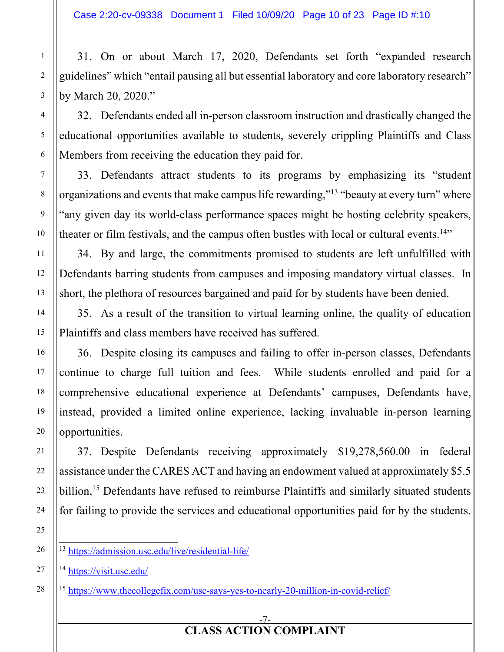31. On or about March 17, 2020, Defendants set forth "expanded research guidelines" which "entail pausing all but essential laboratory and core laboratory research" by March 20, 2020."

32. Defendants ended all in-person classroom instruction and drastically changed the educational opportunities available to students, severely crippling Plaintiffs and Class Members from receiving the education they paid for.

33. Defendants attract students to its programs by emphasizing its "student organizations and events that make campus life rewarding,"13 "beauty at every turn" where "any given day its world-class performance spaces might be hosting celebrity speakers, theater or film festivals, and the campus often bustles with local or cultural events.<sup>14"</sup>

34. By and large, the commitments promised to students are left unfulfilled with Defendants barring students from campuses and imposing mandatory virtual classes. In short, the plethora of resources bargained and paid for by students have been denied.

35. As a result of the transition to virtual learning online, the quality of education Plaintiffs and class members have received has suffered.

36. Despite closing its campuses and failing to offer in-person classes, Defendants continue to charge full tuition and fees. While students enrolled and paid for a comprehensive educational experience at Defendants' campuses, Defendants have, instead, provided a limited online experience, lacking invaluable in-person learning opportunities.

37. Despite Defendants receiving approximately \$19,278,560.00 in federal assistance under the CARES ACT and having an endowment valued at approximately \$5.5 billion,<sup>15</sup> Defendants have refused to reimburse Plaintiffs and similarly situated students for failing to provide the services and educational opportunities paid for by the students.

<sup>14</sup> https://visit.usc.edu/

<sup>15</sup> https://www.thecollegefix.com/usc-says-yes-to-nearly-20-million-in-covid-relief/

#### -7- **CLASS ACTION COMPLAINT**

<sup>13</sup> https://admission.usc.edu/live/residential-life/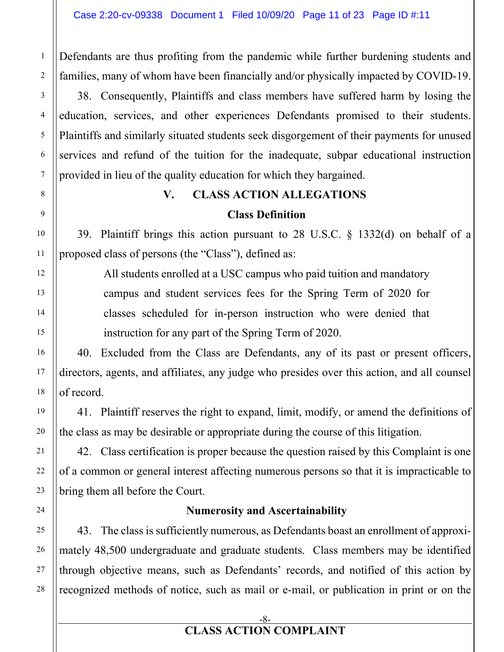Defendants are thus profiting from the pandemic while further burdening students and families, many of whom have been financially and/or physically impacted by COVID-19.

38. Consequently, Plaintiffs and class members have suffered harm by losing the education, services, and other experiences Defendants promised to their students. Plaintiffs and similarly situated students seek disgorgement of their payments for unused services and refund of the tuition for the inadequate, subpar educational instruction provided in lieu of the quality education for which they bargained.

# **V. CLASS ACTION ALLEGATIONS**

### **Class Definition**

39. Plaintiff brings this action pursuant to 28 U.S.C. § 1332(d) on behalf of a proposed class of persons (the "Class"), defined as:

All students enrolled at a USC campus who paid tuition and mandatory campus and student services fees for the Spring Term of 2020 for classes scheduled for in-person instruction who were denied that instruction for any part of the Spring Term of 2020.

40. Excluded from the Class are Defendants, any of its past or present officers, directors, agents, and affiliates, any judge who presides over this action, and all counsel of record.

41. Plaintiff reserves the right to expand, limit, modify, or amend the definitions of the class as may be desirable or appropriate during the course of this litigation.

42. Class certification is proper because the question raised by this Complaint is one of a common or general interest affecting numerous persons so that it is impracticable to bring them all before the Court.

### **Numerosity and Ascertainability**

43. The class is sufficiently numerous, as Defendants boast an enrollment of approximately 48,500 undergraduate and graduate students. Class members may be identified through objective means, such as Defendants' records, and notified of this action by recognized methods of notice, such as mail or e-mail, or publication in print or on the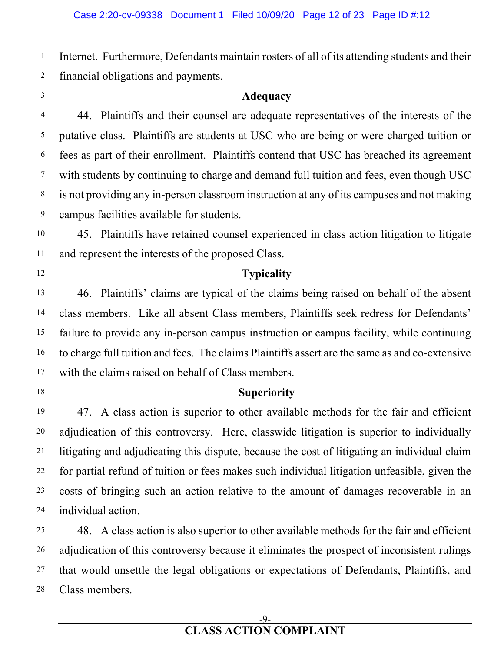Internet. Furthermore, Defendants maintain rosters of all of its attending students and their financial obligations and payments.

#### **Adequacy**

44. Plaintiffs and their counsel are adequate representatives of the interests of the putative class. Plaintiffs are students at USC who are being or were charged tuition or fees as part of their enrollment. Plaintiffs contend that USC has breached its agreement with students by continuing to charge and demand full tuition and fees, even though USC is not providing any in-person classroom instruction at any of its campuses and not making campus facilities available for students.

45. Plaintiffs have retained counsel experienced in class action litigation to litigate and represent the interests of the proposed Class.

#### **Typicality**

46. Plaintiffs' claims are typical of the claims being raised on behalf of the absent class members. Like all absent Class members, Plaintiffs seek redress for Defendants' failure to provide any in-person campus instruction or campus facility, while continuing to charge full tuition and fees. The claims Plaintiffs assert are the same as and co-extensive with the claims raised on behalf of Class members.

#### **Superiority**

47. A class action is superior to other available methods for the fair and efficient adjudication of this controversy. Here, classwide litigation is superior to individually litigating and adjudicating this dispute, because the cost of litigating an individual claim for partial refund of tuition or fees makes such individual litigation unfeasible, given the costs of bringing such an action relative to the amount of damages recoverable in an individual action.

48. A class action is also superior to other available methods for the fair and efficient adjudication of this controversy because it eliminates the prospect of inconsistent rulings that would unsettle the legal obligations or expectations of Defendants, Plaintiffs, and Class members.

1

#### -9- **CLASS ACTION COMPLAINT**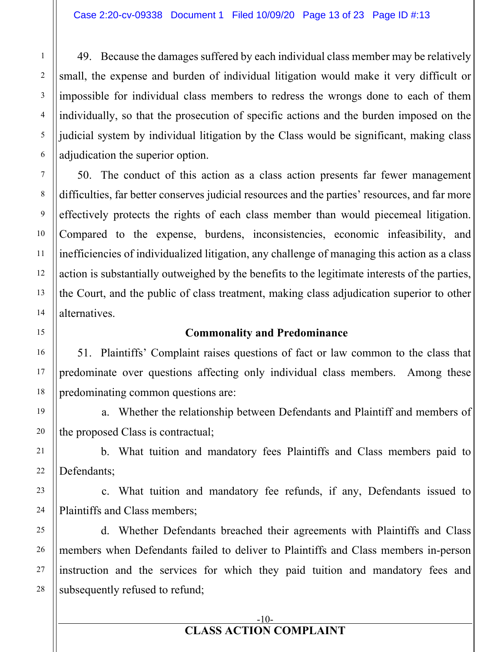49. Because the damages suffered by each individual class member may be relatively small, the expense and burden of individual litigation would make it very difficult or impossible for individual class members to redress the wrongs done to each of them individually, so that the prosecution of specific actions and the burden imposed on the judicial system by individual litigation by the Class would be significant, making class adjudication the superior option.

50. The conduct of this action as a class action presents far fewer management difficulties, far better conserves judicial resources and the parties' resources, and far more effectively protects the rights of each class member than would piecemeal litigation. Compared to the expense, burdens, inconsistencies, economic infeasibility, and inefficiencies of individualized litigation, any challenge of managing this action as a class action is substantially outweighed by the benefits to the legitimate interests of the parties, the Court, and the public of class treatment, making class adjudication superior to other alternatives.

#### **Commonality and Predominance**

51. Plaintiffs' Complaint raises questions of fact or law common to the class that predominate over questions affecting only individual class members. Among these predominating common questions are:

a. Whether the relationship between Defendants and Plaintiff and members of the proposed Class is contractual;

b. What tuition and mandatory fees Plaintiffs and Class members paid to Defendants;

c. What tuition and mandatory fee refunds, if any, Defendants issued to Plaintiffs and Class members;

d. Whether Defendants breached their agreements with Plaintiffs and Class members when Defendants failed to deliver to Plaintiffs and Class members in-person instruction and the services for which they paid tuition and mandatory fees and subsequently refused to refund;

1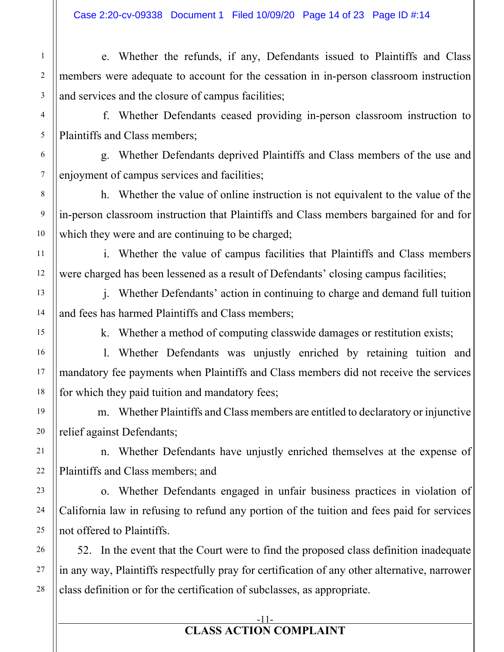1

2

3

4

5

6

7

8

9

10

11

12

13

14

15

16

17

18

19

20

21

22

23

24

25

26

27

28

e. Whether the refunds, if any, Defendants issued to Plaintiffs and Class members were adequate to account for the cessation in in-person classroom instruction and services and the closure of campus facilities;

f. Whether Defendants ceased providing in-person classroom instruction to Plaintiffs and Class members;

g. Whether Defendants deprived Plaintiffs and Class members of the use and enjoyment of campus services and facilities;

h. Whether the value of online instruction is not equivalent to the value of the in-person classroom instruction that Plaintiffs and Class members bargained for and for which they were and are continuing to be charged;

i. Whether the value of campus facilities that Plaintiffs and Class members were charged has been lessened as a result of Defendants' closing campus facilities;

j. Whether Defendants' action in continuing to charge and demand full tuition and fees has harmed Plaintiffs and Class members;

k. Whether a method of computing classwide damages or restitution exists;

l. Whether Defendants was unjustly enriched by retaining tuition and mandatory fee payments when Plaintiffs and Class members did not receive the services for which they paid tuition and mandatory fees;

m. Whether Plaintiffs and Class members are entitled to declaratory or injunctive relief against Defendants;

n. Whether Defendants have unjustly enriched themselves at the expense of Plaintiffs and Class members; and

o. Whether Defendants engaged in unfair business practices in violation of California law in refusing to refund any portion of the tuition and fees paid for services not offered to Plaintiffs.

52. In the event that the Court were to find the proposed class definition inadequate in any way, Plaintiffs respectfully pray for certification of any other alternative, narrower class definition or for the certification of subclasses, as appropriate.

#### -11- **CLASS ACTION COMPLAINT**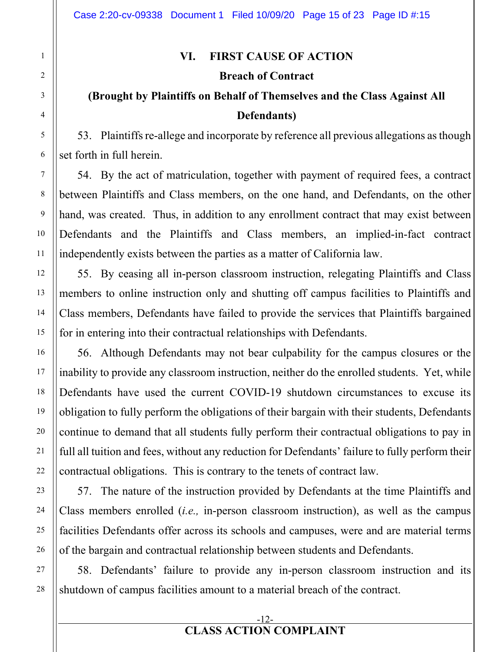#### **VI. FIRST CAUSE OF ACTION**

#### **Breach of Contract**

## **(Brought by Plaintiffs on Behalf of Themselves and the Class Against All Defendants)**

53. Plaintiffs re-allege and incorporate by reference all previous allegations as though set forth in full herein.

54. By the act of matriculation, together with payment of required fees, a contract between Plaintiffs and Class members, on the one hand, and Defendants, on the other hand, was created. Thus, in addition to any enrollment contract that may exist between Defendants and the Plaintiffs and Class members, an implied-in-fact contract independently exists between the parties as a matter of California law.

55. By ceasing all in-person classroom instruction, relegating Plaintiffs and Class members to online instruction only and shutting off campus facilities to Plaintiffs and Class members, Defendants have failed to provide the services that Plaintiffs bargained for in entering into their contractual relationships with Defendants.

56. Although Defendants may not bear culpability for the campus closures or the inability to provide any classroom instruction, neither do the enrolled students. Yet, while Defendants have used the current COVID-19 shutdown circumstances to excuse its obligation to fully perform the obligations of their bargain with their students, Defendants continue to demand that all students fully perform their contractual obligations to pay in full all tuition and fees, without any reduction for Defendants' failure to fully perform their contractual obligations. This is contrary to the tenets of contract law.

57. The nature of the instruction provided by Defendants at the time Plaintiffs and Class members enrolled (*i.e.,* in-person classroom instruction), as well as the campus facilities Defendants offer across its schools and campuses, were and are material terms of the bargain and contractual relationship between students and Defendants.

58. Defendants' failure to provide any in-person classroom instruction and its shutdown of campus facilities amount to a material breach of the contract.

#### -12- **CLASS ACTION COMPLAINT**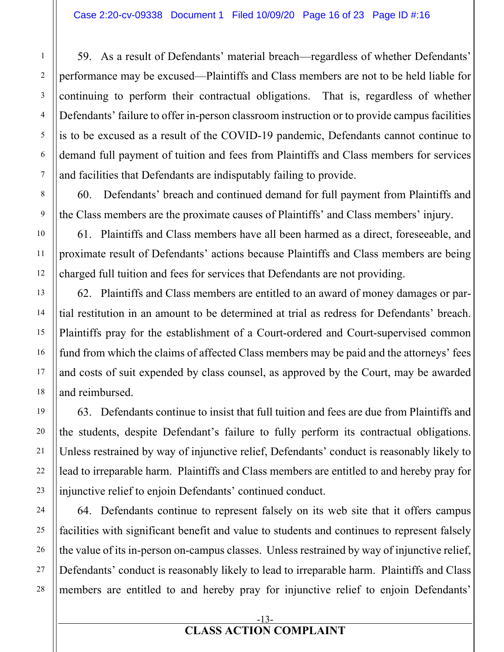59. As a result of Defendants' material breach—regardless of whether Defendants' performance may be excused—Plaintiffs and Class members are not to be held liable for continuing to perform their contractual obligations. That is, regardless of whether Defendants' failure to offer in-person classroom instruction or to provide campus facilities is to be excused as a result of the COVID-19 pandemic, Defendants cannot continue to demand full payment of tuition and fees from Plaintiffs and Class members for services and facilities that Defendants are indisputably failing to provide.

60. Defendants' breach and continued demand for full payment from Plaintiffs and the Class members are the proximate causes of Plaintiffs' and Class members' injury.

61. Plaintiffs and Class members have all been harmed as a direct, foreseeable, and proximate result of Defendants' actions because Plaintiffs and Class members are being charged full tuition and fees for services that Defendants are not providing.

62. Plaintiffs and Class members are entitled to an award of money damages or partial restitution in an amount to be determined at trial as redress for Defendants' breach. Plaintiffs pray for the establishment of a Court-ordered and Court-supervised common fund from which the claims of affected Class members may be paid and the attorneys' fees and costs of suit expended by class counsel, as approved by the Court, may be awarded and reimbursed.

63. Defendants continue to insist that full tuition and fees are due from Plaintiffs and the students, despite Defendant's failure to fully perform its contractual obligations. Unless restrained by way of injunctive relief, Defendants' conduct is reasonably likely to lead to irreparable harm. Plaintiffs and Class members are entitled to and hereby pray for injunctive relief to enjoin Defendants' continued conduct.

64. Defendants continue to represent falsely on its web site that it offers campus facilities with significant benefit and value to students and continues to represent falsely the value of its in-person on-campus classes. Unless restrained by way of injunctive relief, Defendants' conduct is reasonably likely to lead to irreparable harm. Plaintiffs and Class members are entitled to and hereby pray for injunctive relief to enjoin Defendants'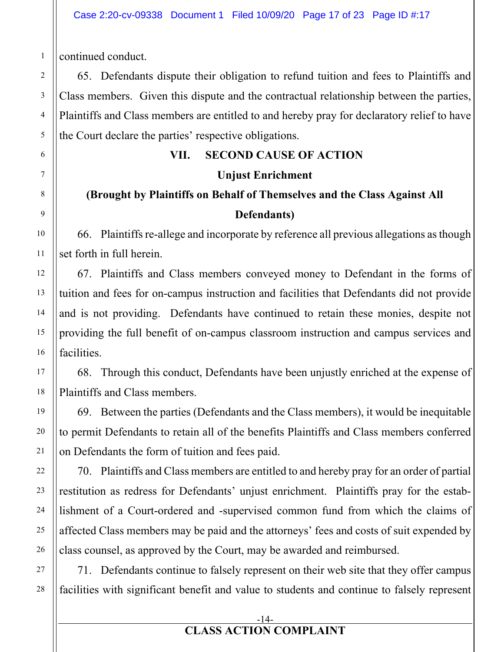continued conduct.

65. Defendants dispute their obligation to refund tuition and fees to Plaintiffs and Class members. Given this dispute and the contractual relationship between the parties, Plaintiffs and Class members are entitled to and hereby pray for declaratory relief to have the Court declare the parties' respective obligations.

## **VII. SECOND CAUSE OF ACTION**

## **Unjust Enrichment**

## **(Brought by Plaintiffs on Behalf of Themselves and the Class Against All Defendants)**

66. Plaintiffs re-allege and incorporate by reference all previous allegations as though set forth in full herein.

67. Plaintiffs and Class members conveyed money to Defendant in the forms of tuition and fees for on-campus instruction and facilities that Defendants did not provide and is not providing. Defendants have continued to retain these monies, despite not providing the full benefit of on-campus classroom instruction and campus services and facilities.

68. Through this conduct, Defendants have been unjustly enriched at the expense of Plaintiffs and Class members.

69. Between the parties (Defendants and the Class members), it would be inequitable to permit Defendants to retain all of the benefits Plaintiffs and Class members conferred on Defendants the form of tuition and fees paid.

70. Plaintiffs and Class members are entitled to and hereby pray for an order of partial restitution as redress for Defendants' unjust enrichment. Plaintiffs pray for the establishment of a Court-ordered and -supervised common fund from which the claims of affected Class members may be paid and the attorneys' fees and costs of suit expended by class counsel, as approved by the Court, may be awarded and reimbursed.

71. Defendants continue to falsely represent on their web site that they offer campus facilities with significant benefit and value to students and continue to falsely represent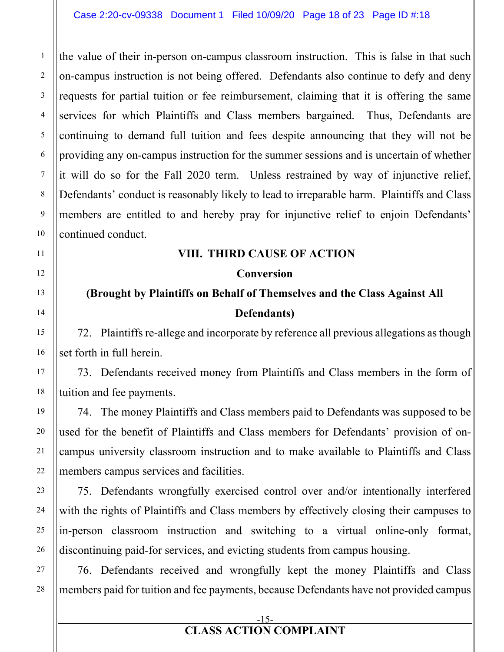the value of their in-person on-campus classroom instruction. This is false in that such on-campus instruction is not being offered. Defendants also continue to defy and deny requests for partial tuition or fee reimbursement, claiming that it is offering the same services for which Plaintiffs and Class members bargained. Thus, Defendants are continuing to demand full tuition and fees despite announcing that they will not be providing any on-campus instruction for the summer sessions and is uncertain of whether it will do so for the Fall 2020 term. Unless restrained by way of injunctive relief, Defendants' conduct is reasonably likely to lead to irreparable harm. Plaintiffs and Class members are entitled to and hereby pray for injunctive relief to enjoin Defendants' continued conduct.

#### **VIII. THIRD CAUSE OF ACTION**

#### **Conversion**

## **(Brought by Plaintiffs on Behalf of Themselves and the Class Against All Defendants)**

72. Plaintiffs re-allege and incorporate by reference all previous allegations as though set forth in full herein.

73. Defendants received money from Plaintiffs and Class members in the form of tuition and fee payments.

74. The money Plaintiffs and Class members paid to Defendants was supposed to be used for the benefit of Plaintiffs and Class members for Defendants' provision of oncampus university classroom instruction and to make available to Plaintiffs and Class members campus services and facilities.

75. Defendants wrongfully exercised control over and/or intentionally interfered with the rights of Plaintiffs and Class members by effectively closing their campuses to in-person classroom instruction and switching to a virtual online-only format, discontinuing paid-for services, and evicting students from campus housing.

76. Defendants received and wrongfully kept the money Plaintiffs and Class members paid for tuition and fee payments, because Defendants have not provided campus

1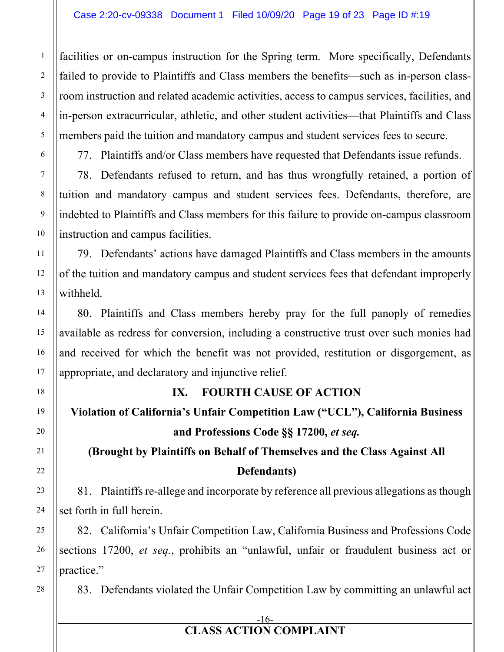facilities or on-campus instruction for the Spring term. More specifically, Defendants failed to provide to Plaintiffs and Class members the benefits—such as in-person classroom instruction and related academic activities, access to campus services, facilities, and in-person extracurricular, athletic, and other student activities—that Plaintiffs and Class members paid the tuition and mandatory campus and student services fees to secure.

77. Plaintiffs and/or Class members have requested that Defendants issue refunds.

78. Defendants refused to return, and has thus wrongfully retained, a portion of tuition and mandatory campus and student services fees. Defendants, therefore, are indebted to Plaintiffs and Class members for this failure to provide on-campus classroom instruction and campus facilities.

79. Defendants' actions have damaged Plaintiffs and Class members in the amounts of the tuition and mandatory campus and student services fees that defendant improperly withheld.

80. Plaintiffs and Class members hereby pray for the full panoply of remedies available as redress for conversion, including a constructive trust over such monies had and received for which the benefit was not provided, restitution or disgorgement, as appropriate, and declaratory and injunctive relief.

## **IX. FOURTH CAUSE OF ACTION**

## **Violation of California's Unfair Competition Law ("UCL"), California Business and Professions Code §§ 17200,** *et seq.*

## **(Brought by Plaintiffs on Behalf of Themselves and the Class Against All Defendants)**

81. Plaintiffs re-allege and incorporate by reference all previous allegations as though set forth in full herein.

82. California's Unfair Competition Law, California Business and Professions Code sections 17200, *et seq.*, prohibits an "unlawful, unfair or fraudulent business act or practice."

83. Defendants violated the Unfair Competition Law by committing an unlawful act

## -16-

## **CLASS ACTION COMPLAINT**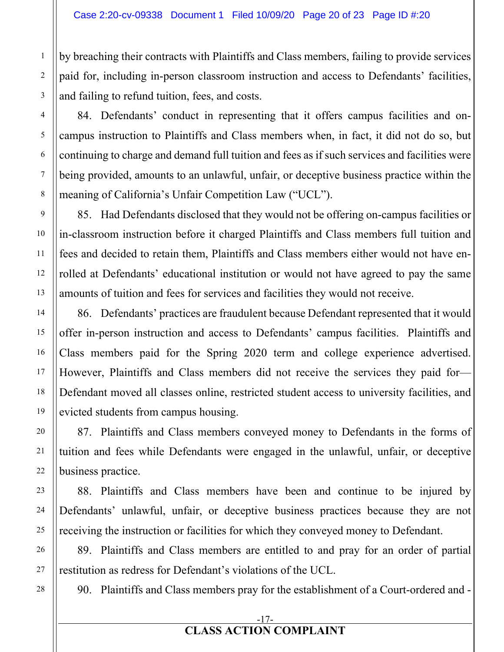by breaching their contracts with Plaintiffs and Class members, failing to provide services paid for, including in-person classroom instruction and access to Defendants' facilities, and failing to refund tuition, fees, and costs.

84. Defendants' conduct in representing that it offers campus facilities and oncampus instruction to Plaintiffs and Class members when, in fact, it did not do so, but continuing to charge and demand full tuition and fees as if such services and facilities were being provided, amounts to an unlawful, unfair, or deceptive business practice within the meaning of California's Unfair Competition Law ("UCL").

85. Had Defendants disclosed that they would not be offering on-campus facilities or in-classroom instruction before it charged Plaintiffs and Class members full tuition and fees and decided to retain them, Plaintiffs and Class members either would not have enrolled at Defendants' educational institution or would not have agreed to pay the same amounts of tuition and fees for services and facilities they would not receive.

86. Defendants' practices are fraudulent because Defendant represented that it would offer in-person instruction and access to Defendants' campus facilities. Plaintiffs and Class members paid for the Spring 2020 term and college experience advertised. However, Plaintiffs and Class members did not receive the services they paid for— Defendant moved all classes online, restricted student access to university facilities, and evicted students from campus housing.

87. Plaintiffs and Class members conveyed money to Defendants in the forms of tuition and fees while Defendants were engaged in the unlawful, unfair, or deceptive business practice.

88. Plaintiffs and Class members have been and continue to be injured by Defendants' unlawful, unfair, or deceptive business practices because they are not receiving the instruction or facilities for which they conveyed money to Defendant.

89. Plaintiffs and Class members are entitled to and pray for an order of partial restitution as redress for Defendant's violations of the UCL.

90. Plaintiffs and Class members pray for the establishment of a Court-ordered and -

#### -17- **CLASS ACTION COMPLAINT**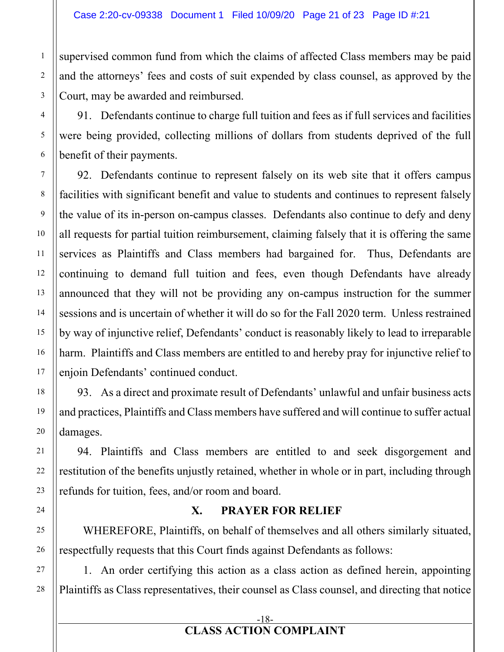supervised common fund from which the claims of affected Class members may be paid and the attorneys' fees and costs of suit expended by class counsel, as approved by the Court, may be awarded and reimbursed.

91. Defendants continue to charge full tuition and fees as if full services and facilities were being provided, collecting millions of dollars from students deprived of the full benefit of their payments.

92. Defendants continue to represent falsely on its web site that it offers campus facilities with significant benefit and value to students and continues to represent falsely the value of its in-person on-campus classes. Defendants also continue to defy and deny all requests for partial tuition reimbursement, claiming falsely that it is offering the same services as Plaintiffs and Class members had bargained for. Thus, Defendants are continuing to demand full tuition and fees, even though Defendants have already announced that they will not be providing any on-campus instruction for the summer sessions and is uncertain of whether it will do so for the Fall 2020 term. Unless restrained by way of injunctive relief, Defendants' conduct is reasonably likely to lead to irreparable harm. Plaintiffs and Class members are entitled to and hereby pray for injunctive relief to enjoin Defendants' continued conduct.

93. As a direct and proximate result of Defendants' unlawful and unfair business acts and practices, Plaintiffs and Class members have suffered and will continue to suffer actual damages.

94. Plaintiffs and Class members are entitled to and seek disgorgement and restitution of the benefits unjustly retained, whether in whole or in part, including through refunds for tuition, fees, and/or room and board.

## **X. PRAYER FOR RELIEF**

WHEREFORE, Plaintiffs, on behalf of themselves and all others similarly situated, respectfully requests that this Court finds against Defendants as follows:

1. An order certifying this action as a class action as defined herein, appointing Plaintiffs as Class representatives, their counsel as Class counsel, and directing that notice

1

#### -18- **CLASS ACTION COMPLAINT**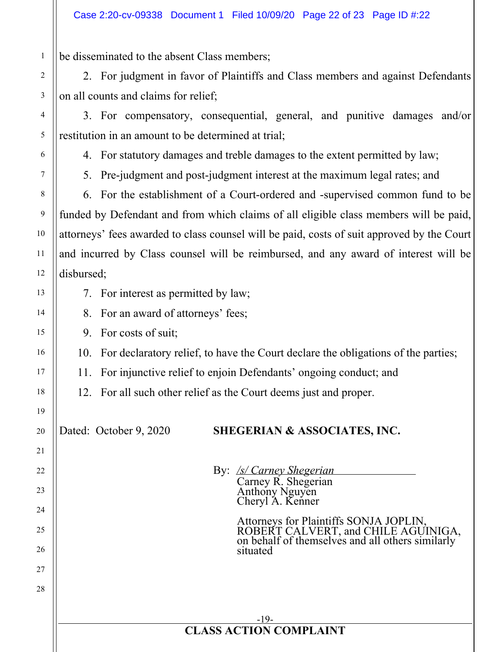be disseminated to the absent Class members;

2. For judgment in favor of Plaintiffs and Class members and against Defendants on all counts and claims for relief;

3. For compensatory, consequential, general, and punitive damages and/or restitution in an amount to be determined at trial;

4. For statutory damages and treble damages to the extent permitted by law;

1

2

3

4

5

6

7

8

9

10

11

12

13

14

15

16

17

18

19

20

21

22

23

24

25

26

27

28

5. Pre-judgment and post-judgment interest at the maximum legal rates; and

6. For the establishment of a Court-ordered and -supervised common fund to be funded by Defendant and from which claims of all eligible class members will be paid, attorneys' fees awarded to class counsel will be paid, costs of suit approved by the Court and incurred by Class counsel will be reimbursed, and any award of interest will be disbursed;

- 7. For interest as permitted by law;
- 8. For an award of attorneys' fees;
- 9. For costs of suit;
- 10. For declaratory relief, to have the Court declare the obligations of the parties;
- 11. For injunctive relief to enjoin Defendants' ongoing conduct; and

12. For all such other relief as the Court deems just and proper.

## Dated: October 9, 2020 **SHEGERIAN & ASSOCIATES, INC.**

By: */s/ Carney Shegerian*  Carney R. Shegerian Anthony Nguyen Cheryl A. Kenner

> Attorneys for Plaintiffs SONJA JOPLIN, ROBERT CALVERT, and CHILE AGUINIGA, on behalf of themselves and all others similarly situated